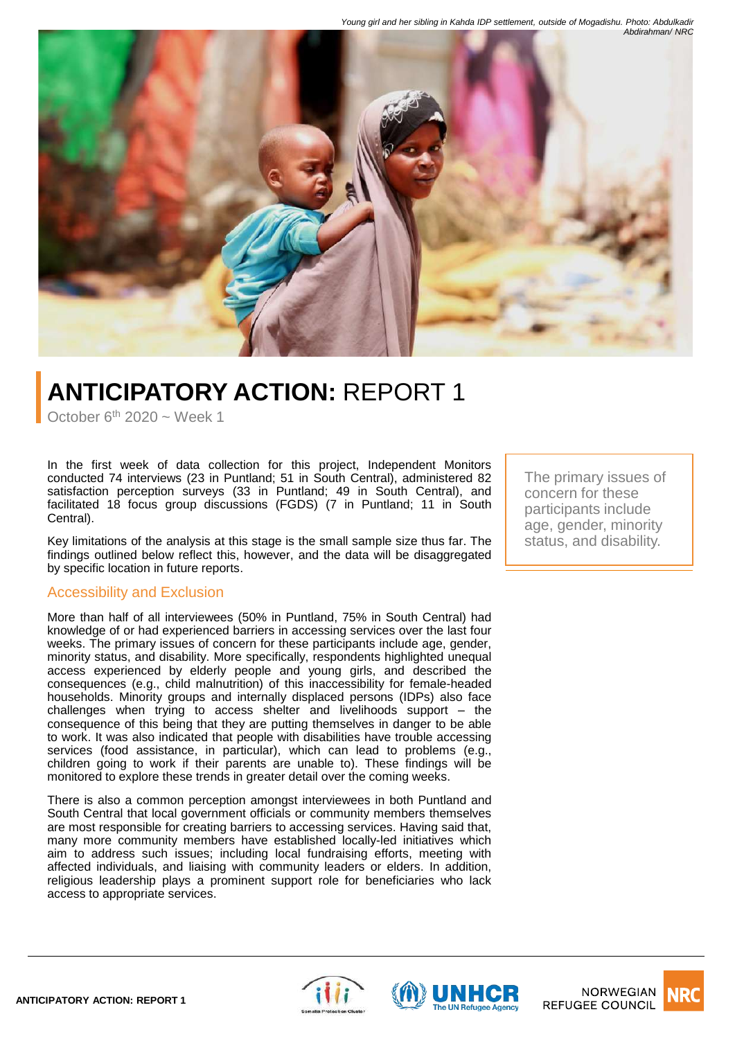

# **ANTICIPATORY ACTION:** REPORT 1

October  $6<sup>th</sup> 2020$  ~ Week 1

In the first week of data collection for this project, Independent Monitors conducted 74 interviews (23 in Puntland; 51 in South Central), administered 82 satisfaction perception surveys (33 in Puntland; 49 in South Central), and facilitated 18 focus group discussions (FGDS) (7 in Puntland; 11 in South Central).

Key limitations of the analysis at this stage is the small sample size thus far. The findings outlined below reflect this, however, and the data will be disaggregated by specific location in future reports.

#### Accessibility and Exclusion

More than half of all interviewees (50% in Puntland, 75% in South Central) had knowledge of or had experienced barriers in accessing services over the last four weeks. The primary issues of concern for these participants include age, gender, minority status, and disability. More specifically, respondents highlighted unequal access experienced by elderly people and young girls, and described the consequences (e.g., child malnutrition) of this inaccessibility for female-headed households. Minority groups and internally displaced persons (IDPs) also face challenges when trying to access shelter and livelihoods support – the consequence of this being that they are putting themselves in danger to be able to work. It was also indicated that people with disabilities have trouble accessing services (food assistance, in particular), which can lead to problems (e.g., children going to work if their parents are unable to). These findings will be monitored to explore these trends in greater detail over the coming weeks.

There is also a common perception amongst interviewees in both Puntland and South Central that local government officials or community members themselves are most responsible for creating barriers to accessing services. Having said that, many more community members have established locally-led initiatives which aim to address such issues; including local fundraising efforts, meeting with affected individuals, and liaising with community leaders or elders. In addition, religious leadership plays a prominent support role for beneficiaries who lack access to appropriate services.

The primary issues of concern for these participants include age, gender, minority status, and disability.





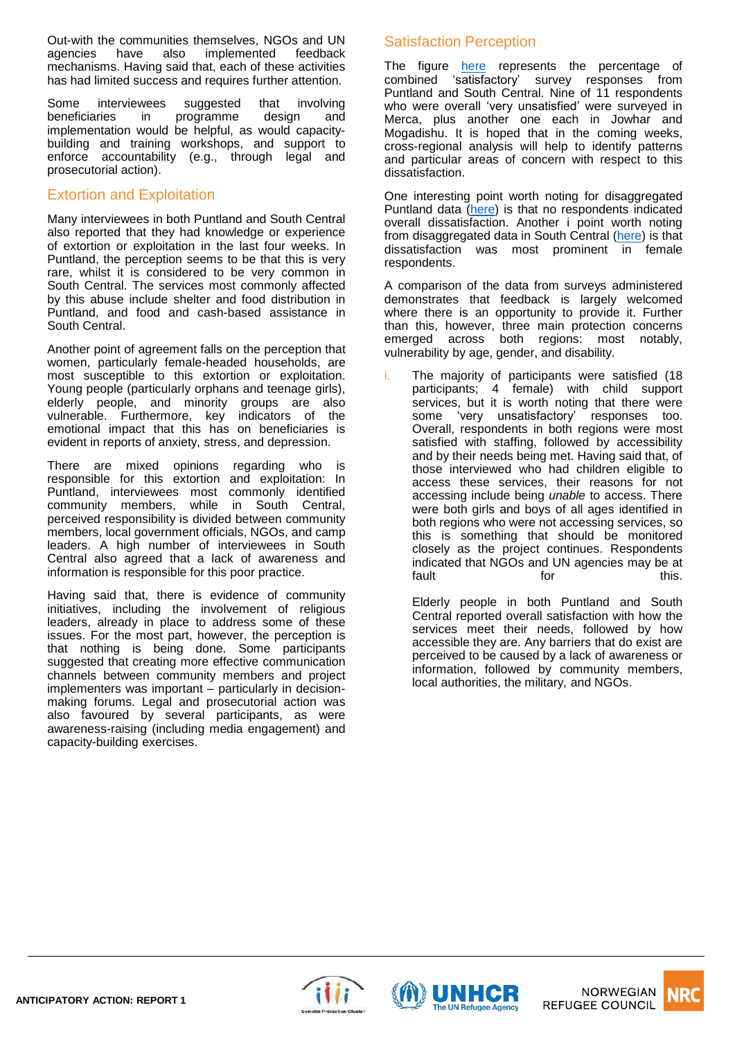Out-with the communities themselves, NGOs and UN agencies have also implemented feedback mechanisms. Having said that, each of these activities has had limited success and requires further attention.

Some interviewees suggested that involving beneficiaries in programme design and implementation would be helpful, as would capacitybuilding and training workshops, and support to enforce accountability (e.g., through legal and prosecutorial action).

#### Extortion and Exploitation

Many interviewees in both Puntland and South Central also reported that they had knowledge or experience of extortion or exploitation in the last four weeks. In Puntland, the perception seems to be that this is very rare, whilst it is considered to be very common in South Central. The services most commonly affected by this abuse include shelter and food distribution in Puntland, and food and cash-based assistance in South Central.

Another point of agreement falls on the perception that women, particularly female-headed households, are most susceptible to this extortion or exploitation. Young people (particularly orphans and teenage girls), elderly people, and minority groups are also vulnerable. Furthermore, key indicators of the emotional impact that this has on beneficiaries is evident in reports of anxiety, stress, and depression.

There are mixed opinions regarding who is responsible for this extortion and exploitation: In Puntland, interviewees most commonly identified community members, while in South Central, perceived responsibility is divided between community members, local government officials, NGOs, and camp leaders. A high number of interviewees in South Central also agreed that a lack of awareness and information is responsible for this poor practice.

Having said that, there is evidence of community initiatives, including the involvement of religious leaders, already in place to address some of these issues. For the most part, however, the perception is that nothing is being done. Some participants suggested that creating more effective communication channels between community members and project implementers was important – particularly in decisionmaking forums. Legal and prosecutorial action was also favoured by several participants, as were awareness-raising (including media engagement) and capacity-building exercises.

## Satisfaction Perception

The figure [here](#page-2-0) represents the percentage of combined 'satisfactory' survey responses from Puntland and South Central. Nine of 11 respondents who were overall 'very unsatisfied' were surveyed in Merca, plus another one each in Jowhar and Mogadishu. It is hoped that in the coming weeks, cross-regional analysis will help to identify patterns and particular areas of concern with respect to this dissatisfaction.

One interesting point worth noting for disaggregated Puntland data [\(here\)](#page-3-0) is that no respondents indicated overall dissatisfaction. Another i point worth noting from disaggregated data in South Central ([here\)](#page-3-0) is that dissatisfaction was most prominent in female respondents.

A comparison of the data from surveys administered demonstrates that feedback is largely welcomed where there is an opportunity to provide it. Further than this, however, three main protection concerns emerged across both regions: most notably, vulnerability by age, gender, and disability.

i. The majority of participants were satisfied (18 participants; 4 female) with child support services, but it is worth noting that there were some 'very unsatisfactory' responses too. Overall, respondents in both regions were most satisfied with staffing, followed by accessibility and by their needs being met. Having said that, of those interviewed who had children eligible to access these services, their reasons for not accessing include being *unable* to access. There were both girls and boys of all ages identified in both regions who were not accessing services, so this is something that should be monitored closely as the project continues. Respondents indicated that NGOs and UN agencies may be at<br>fault this. fault for this.

Elderly people in both Puntland and South Central reported overall satisfaction with how the services meet their needs, followed by how accessible they are. Any barriers that do exist are perceived to be caused by a lack of awareness or information, followed by community members, local authorities, the military, and NGOs.





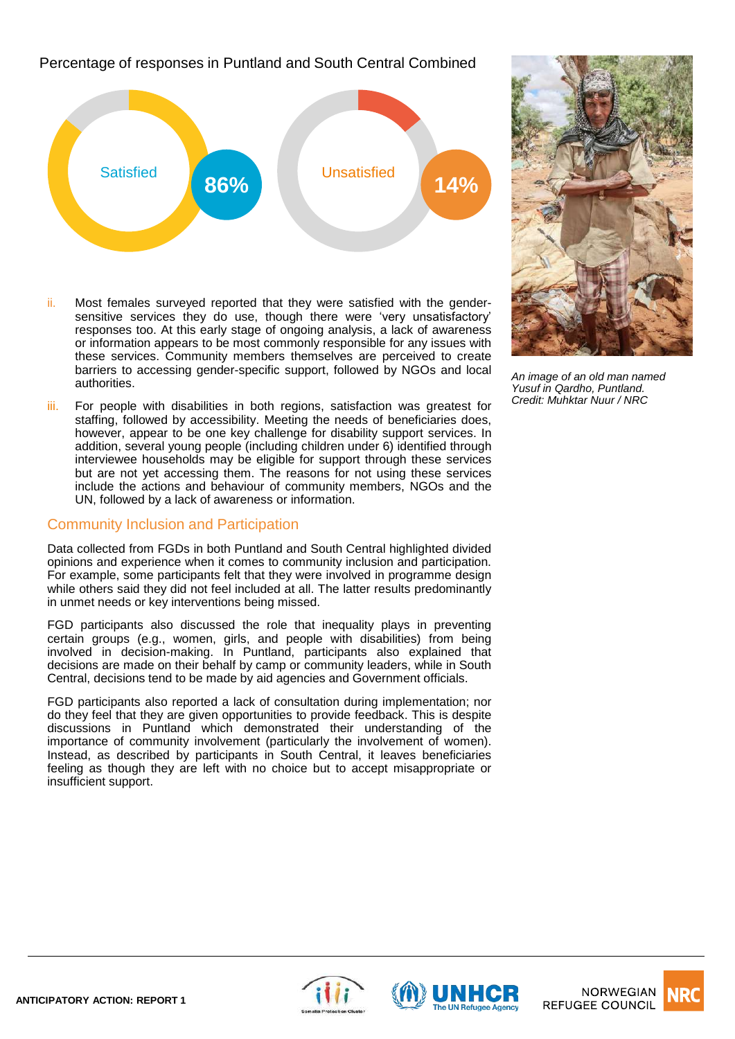<span id="page-2-0"></span>Percentage of responses in Puntland and South Central Combined



- ii. Most females surveyed reported that they were satisfied with the gendersensitive services they do use, though there were 'very unsatisfactory' responses too. At this early stage of ongoing analysis, a lack of awareness or information appears to be most commonly responsible for any issues with these services. Community members themselves are perceived to create barriers to accessing gender-specific support, followed by NGOs and local authorities.
- iii. For people with disabilities in both regions, satisfaction was greatest for staffing, followed by accessibility. Meeting the needs of beneficiaries does, however, appear to be one key challenge for disability support services. In addition, several young people (including children under 6) identified through interviewee households may be eligible for support through these services but are not yet accessing them. The reasons for not using these services include the actions and behaviour of community members, NGOs and the UN, followed by a lack of awareness or information.

#### Community Inclusion and Participation

Data collected from FGDs in both Puntland and South Central highlighted divided opinions and experience when it comes to community inclusion and participation. For example, some participants felt that they were involved in programme design while others said they did not feel included at all. The latter results predominantly in unmet needs or key interventions being missed.

FGD participants also discussed the role that inequality plays in preventing certain groups (e.g., women, girls, and people with disabilities) from being involved in decision-making. In Puntland, participants also explained that decisions are made on their behalf by camp or community leaders, while in South Central, decisions tend to be made by aid agencies and Government officials.

FGD participants also reported a lack of consultation during implementation; nor do they feel that they are given opportunities to provide feedback. This is despite discussions in Puntland which demonstrated their understanding of the importance of community involvement (particularly the involvement of women). Instead, as described by participants in South Central, it leaves beneficiaries feeling as though they are left with no choice but to accept misappropriate or insufficient support.



*An image of an old man named Yusuf in Qardho, Puntland. Credit: Muhktar Nuur / NRC*